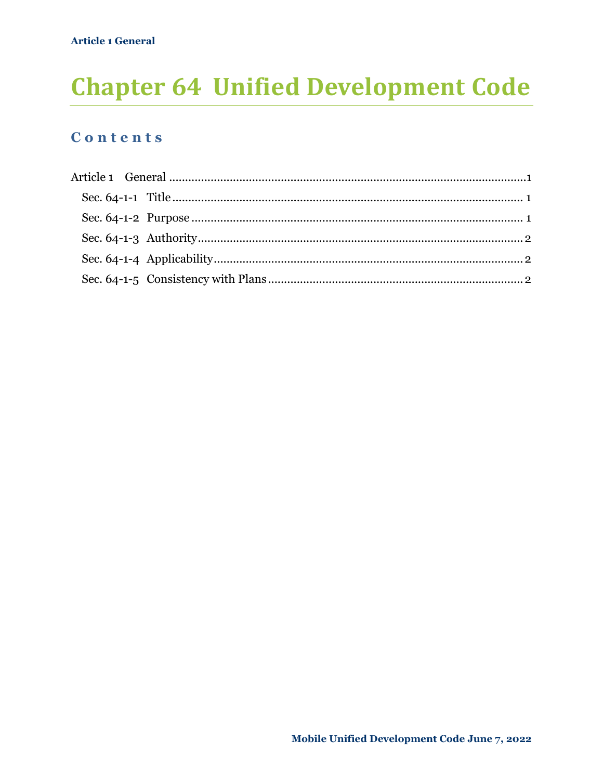# **Chapter 64 Unified Development Code**

#### Contents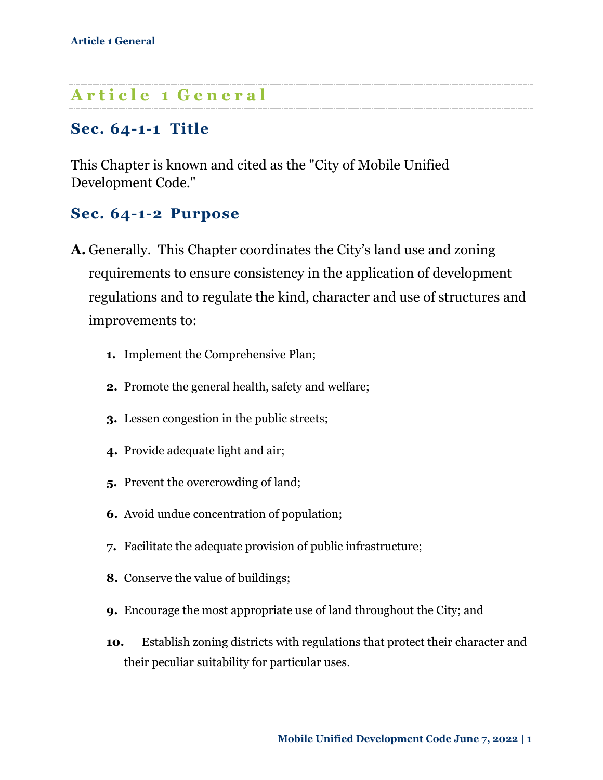# **A r t i c l e 1 G e n e r a l**

#### **Sec. 64-1-1 Title**

This Chapter is known and cited as the "City of Mobile Unified Development Code."

#### **Sec. 64-1-2 Purpose**

- **A.** Generally. This Chapter coordinates the City's land use and zoning requirements to ensure consistency in the application of development regulations and to regulate the kind, character and use of structures and improvements to:
	- **1.** Implement the Comprehensive Plan;
	- **2.** Promote the general health, safety and welfare;
	- **3.** Lessen congestion in the public streets;
	- **4.** Provide adequate light and air;
	- **5.** Prevent the overcrowding of land;
	- **6.** Avoid undue concentration of population;
	- **7.** Facilitate the adequate provision of public infrastructure;
	- **8.** Conserve the value of buildings;
	- **9.** Encourage the most appropriate use of land throughout the City; and
	- **10.** Establish zoning districts with regulations that protect their character and their peculiar suitability for particular uses.